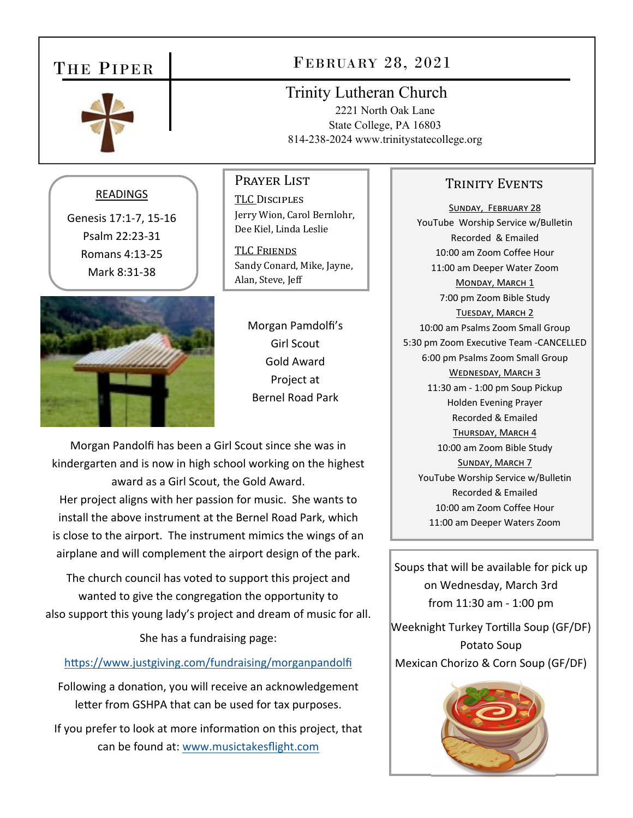# THE PIPER



# FEBRUARY 28, 2021

Trinity Lutheran Church 2221 North Oak Lane State College, PA 16803 814-238-2024 www.trinitystatecollege.org

## READINGS

Genesis 17:1‐7, 15‐16 Psalm 22:23‐31 Romans 4:13‐25 Mark 8:31‐38



Prayer List TLC DISCIPLES Jerry Wion, Carol Bernlohr, Dee Kiel, Linda Leslie

TLC FRIENDS Sandy Conard, Mike, Jayne, Alan, Steve, Jeff

> Morgan Pamdolfi's Girl Scout Gold Award Project at Bernel Road Park

Morgan Pandolfi has been a Girl Scout since she was in kindergarten and is now in high school working on the highest award as a Girl Scout, the Gold Award. Her project aligns with her passion for music. She wants to install the above instrument at the Bernel Road Park, which is close to the airport. The instrument mimics the wings of an airplane and will complement the airport design of the park.

The church council has voted to support this project and wanted to give the congregation the opportunity to also support this young lady's project and dream of music for all.

She has a fundraising page:

### https://www.justgiving.com/fundraising/morganpandolfi

Following a donation, you will receive an acknowledgement letter from GSHPA that can be used for tax purposes.

If you prefer to look at more information on this project, that can be found at: www.musictakesflight.com

## TRINITY EVENTS

SUNDAY, FEBRUARY 28 YouTube Worship Service w/Bulletin Recorded & Emailed 10:00 am Zoom Coffee Hour 11:00 am Deeper Water Zoom MONDAY, MARCH 1 7:00 pm Zoom Bible Study TUESDAY, MARCH 2 10:00 am Psalms Zoom Small Group 5:30 pm Zoom Executive Team ‐CANCELLED 6:00 pm Psalms Zoom Small Group WEDNESDAY, MARCH 3 11:30 am ‐ 1:00 pm Soup Pickup Holden Evening Prayer Recorded & Emailed THURSDAY, MARCH 4 10:00 am Zoom Bible Study SUNDAY, MARCH 7 YouTube Worship Service w/Bulletin Recorded & Emailed 10:00 am Zoom Coffee Hour 11:00 am Deeper Waters Zoom

Soups that will be available for pick up on Wednesday, March 3rd from 11:30 am ‐ 1:00 pm

Weeknight Turkey Tortilla Soup (GF/DF) Potato Soup Mexican Chorizo & Corn Soup (GF/DF)